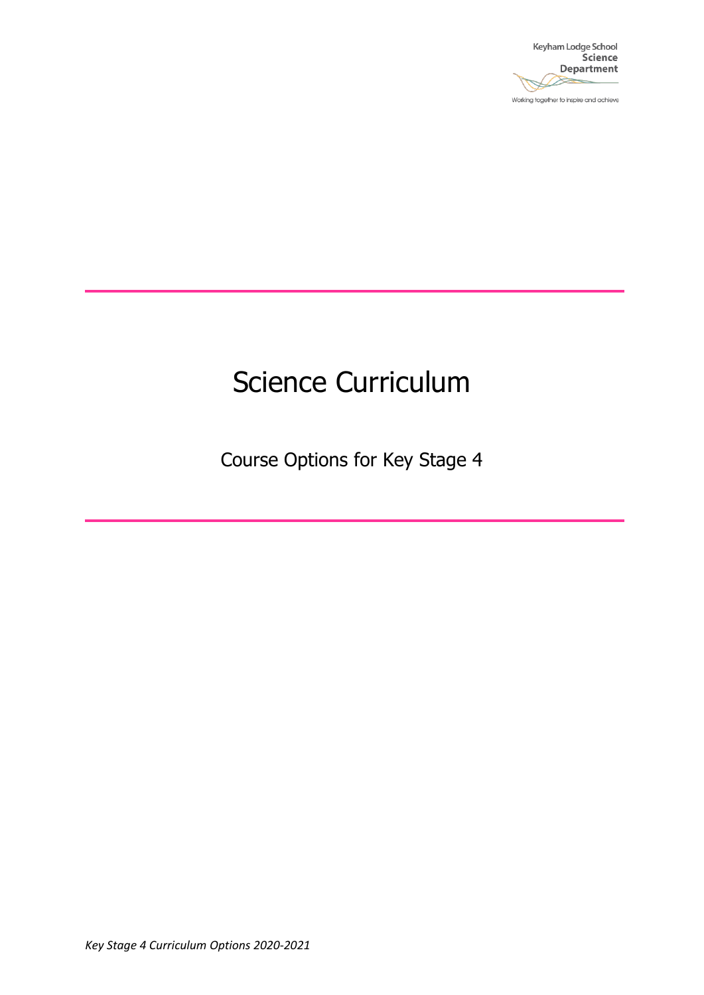

Working together to inspire and achieve

# Science Curriculum

Course Options for Key Stage 4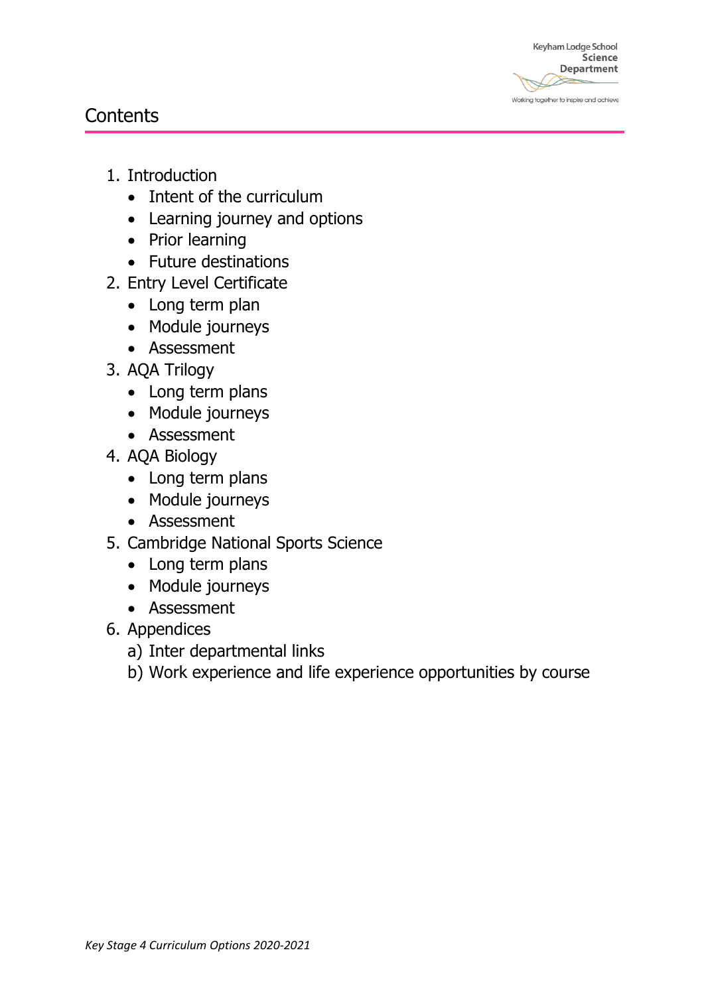Keyham Lodge School Science **Department** Working together to inspire and achieve

### **Contents**

- 1. Introduction
	- Intent of the curriculum
	- Learning journey and options
	- Prior learning
	- Future destinations
- 2. Entry Level Certificate
	- Long term plan
	- Module journeys
	- Assessment
- 3. AQA Trilogy
	- Long term plans
	- Module journeys
	- Assessment
- 4. AQA Biology
	- Long term plans
	- Module journeys
	- Assessment
- 5. Cambridge National Sports Science
	- Long term plans
	- Module journeys
	- Assessment
- 6. Appendices
	- a) Inter departmental links
	- b) Work experience and life experience opportunities by course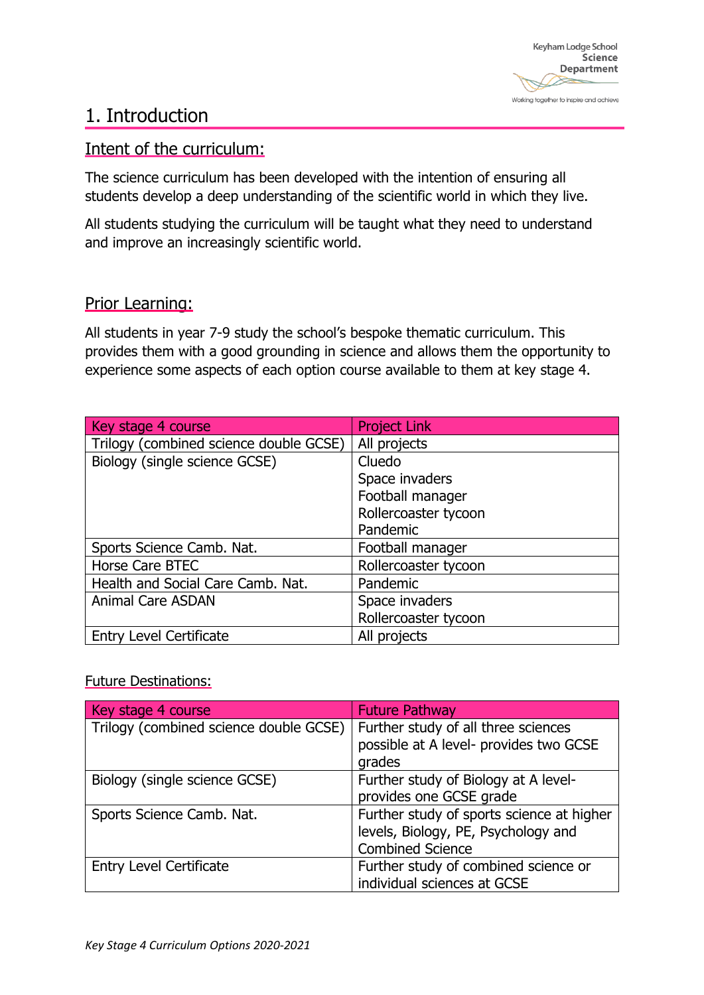### 1. Introduction

#### Intent of the curriculum:

The science curriculum has been developed with the intention of ensuring all students develop a deep understanding of the scientific world in which they live.

All students studying the curriculum will be taught what they need to understand and improve an increasingly scientific world.

#### Prior Learning:

All students in year 7-9 study the school's bespoke thematic curriculum. This provides them with a good grounding in science and allows them the opportunity to experience some aspects of each option course available to them at key stage 4.

| Key stage 4 course                     | <b>Project Link</b>  |
|----------------------------------------|----------------------|
| Trilogy (combined science double GCSE) | All projects         |
| Biology (single science GCSE)          | Cluedo               |
|                                        | Space invaders       |
|                                        | Football manager     |
|                                        | Rollercoaster tycoon |
|                                        | Pandemic             |
| Sports Science Camb. Nat.              | Football manager     |
| Horse Care BTEC                        | Rollercoaster tycoon |
| Health and Social Care Camb. Nat.      | Pandemic             |
| <b>Animal Care ASDAN</b>               | Space invaders       |
|                                        | Rollercoaster tycoon |
| <b>Entry Level Certificate</b>         | All projects         |

#### Future Destinations:

| Key stage 4 course                     | <b>Future Pathway</b>                                                                                       |
|----------------------------------------|-------------------------------------------------------------------------------------------------------------|
| Trilogy (combined science double GCSE) | Further study of all three sciences<br>possible at A level- provides two GCSE<br>grades                     |
| Biology (single science GCSE)          | Further study of Biology at A level-<br>provides one GCSE grade                                             |
| Sports Science Camb. Nat.              | Further study of sports science at higher<br>levels, Biology, PE, Psychology and<br><b>Combined Science</b> |
| <b>Entry Level Certificate</b>         | Further study of combined science or<br>individual sciences at GCSE                                         |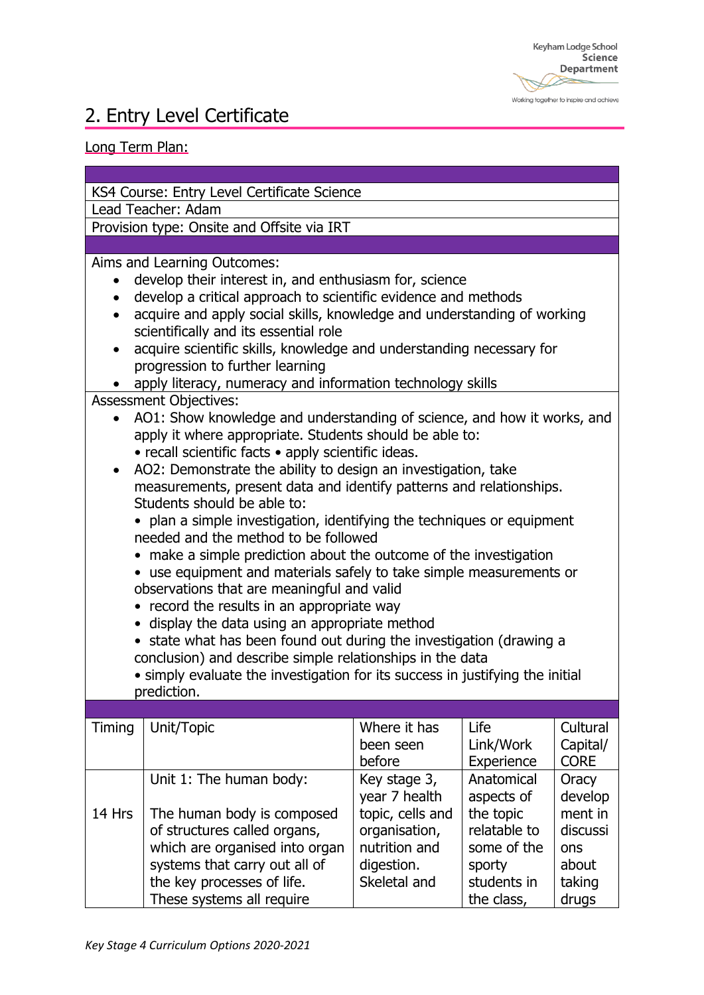#### Working together to inspire and achieve

## 2. Entry Level Certificate

#### Long Term Plan:

KS4 Course: Entry Level Certificate Science

Lead Teacher: Adam

Provision type: Onsite and Offsite via IRT

Aims and Learning Outcomes:

- develop their interest in, and enthusiasm for, science
- develop a critical approach to scientific evidence and methods
- acquire and apply social skills, knowledge and understanding of working scientifically and its essential role
- acquire scientific skills, knowledge and understanding necessary for progression to further learning
- apply literacy, numeracy and information technology skills

Assessment Objectives:

- AO1: Show knowledge and understanding of science, and how it works, and apply it where appropriate. Students should be able to:
	- recall scientific facts apply scientific ideas.
- AO2: Demonstrate the ability to design an investigation, take measurements, present data and identify patterns and relationships. Students should be able to:

• plan a simple investigation, identifying the techniques or equipment needed and the method to be followed

- make a simple prediction about the outcome of the investigation
- use equipment and materials safely to take simple measurements or observations that are meaningful and valid
- record the results in an appropriate way
- display the data using an appropriate method
- state what has been found out during the investigation (drawing a conclusion) and describe simple relationships in the data

• simply evaluate the investigation for its success in justifying the initial prediction.

| Timing | Unit/Topic                     | Where it has     | Life         | Cultural    |
|--------|--------------------------------|------------------|--------------|-------------|
|        |                                | been seen        | Link/Work    | Capital/    |
|        |                                | before           | Experience   | <b>CORE</b> |
|        | Unit 1: The human body:        | Key stage 3,     | Anatomical   | Oracy       |
|        |                                | year 7 health    | aspects of   | develop     |
| 14 Hrs | The human body is composed     | topic, cells and | the topic    | ment in     |
|        | of structures called organs,   | organisation,    | relatable to | discussi    |
|        | which are organised into organ | nutrition and    | some of the  | ons         |
|        | systems that carry out all of  | digestion.       | sporty       | about       |
|        | the key processes of life.     | Skeletal and     | students in  | taking      |
|        | These systems all require      |                  | the class,   | drugs       |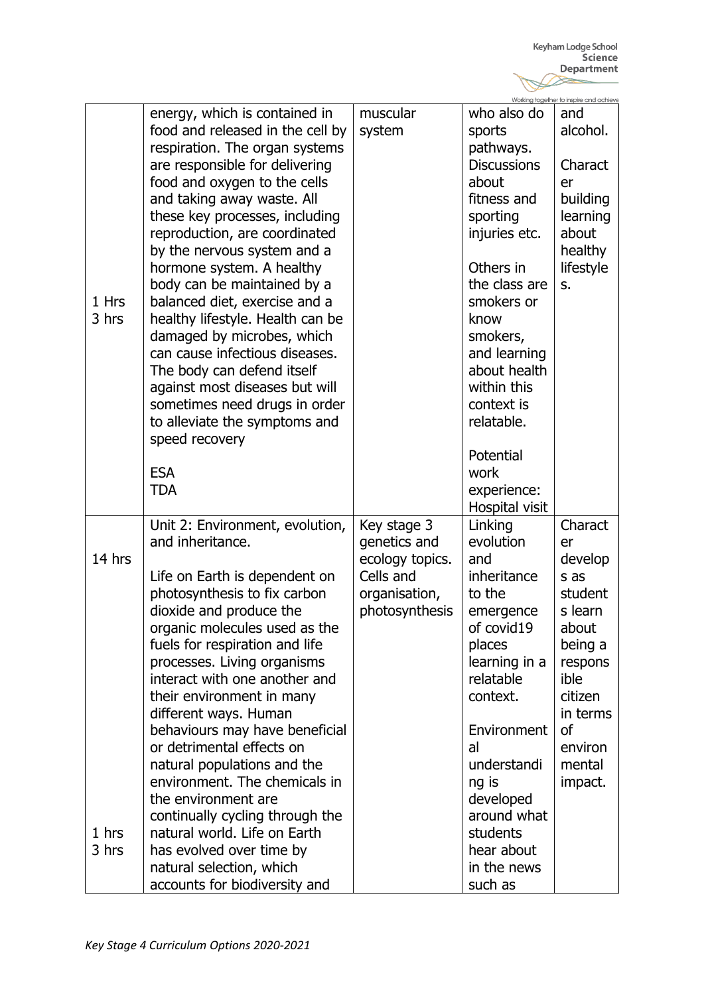|        |                                  |                 |                    | Working together to inspire and achieve |
|--------|----------------------------------|-----------------|--------------------|-----------------------------------------|
|        | energy, which is contained in    | muscular        | who also do        | and                                     |
|        | food and released in the cell by | system          | sports             | alcohol.                                |
|        | respiration. The organ systems   |                 | pathways.          |                                         |
|        |                                  |                 | <b>Discussions</b> | Charact                                 |
|        | are responsible for delivering   |                 |                    |                                         |
|        | food and oxygen to the cells     |                 | about              | er                                      |
|        | and taking away waste. All       |                 | fitness and        | building                                |
|        | these key processes, including   |                 | sporting           | learning                                |
|        | reproduction, are coordinated    |                 | injuries etc.      | about                                   |
|        | by the nervous system and a      |                 |                    | healthy                                 |
|        | hormone system. A healthy        |                 | Others in          | lifestyle                               |
|        | body can be maintained by a      |                 | the class are      | s.                                      |
| 1 Hrs  | balanced diet, exercise and a    |                 | smokers or         |                                         |
| 3 hrs  | healthy lifestyle. Health can be |                 | know               |                                         |
|        | damaged by microbes, which       |                 | smokers,           |                                         |
|        |                                  |                 |                    |                                         |
|        | can cause infectious diseases.   |                 | and learning       |                                         |
|        | The body can defend itself       |                 | about health       |                                         |
|        | against most diseases but will   |                 | within this        |                                         |
|        | sometimes need drugs in order    |                 | context is         |                                         |
|        | to alleviate the symptoms and    |                 | relatable.         |                                         |
|        | speed recovery                   |                 |                    |                                         |
|        |                                  |                 | Potential          |                                         |
|        | <b>ESA</b>                       |                 | work               |                                         |
|        | <b>TDA</b>                       |                 | experience:        |                                         |
|        |                                  |                 | Hospital visit     |                                         |
|        | Unit 2: Environment, evolution,  | Key stage 3     | Linking            | Charact                                 |
|        | and inheritance.                 | genetics and    | evolution          | er                                      |
| 14 hrs |                                  | ecology topics. | and                | develop                                 |
|        | Life on Earth is dependent on    | Cells and       | inheritance        | s as                                    |
|        | photosynthesis to fix carbon     | organisation,   | to the             | student                                 |
|        | dioxide and produce the          | photosynthesis  |                    | s learn                                 |
|        |                                  |                 | emergence          |                                         |
|        | organic molecules used as the    |                 | of covid19         | about                                   |
|        | fuels for respiration and life   |                 | places             | being a                                 |
|        | processes. Living organisms      |                 | learning in a      | respons                                 |
|        | interact with one another and    |                 | relatable          | ible                                    |
|        | their environment in many        |                 | context.           | citizen                                 |
|        | different ways. Human            |                 |                    | in terms                                |
|        | behaviours may have beneficial   |                 | Environment        | <sub>of</sub>                           |
|        | or detrimental effects on        |                 | al                 | environ                                 |
|        | natural populations and the      |                 | understandi        | mental                                  |
|        | environment. The chemicals in    |                 | ng is              | impact.                                 |
|        | the environment are              |                 | developed          |                                         |
|        | continually cycling through the  |                 | around what        |                                         |
| 1 hrs  | natural world. Life on Earth     |                 | students           |                                         |
| 3 hrs  | has evolved over time by         |                 | hear about         |                                         |
|        | natural selection, which         |                 | in the news        |                                         |
|        |                                  |                 |                    |                                         |
|        | accounts for biodiversity and    |                 | such as            |                                         |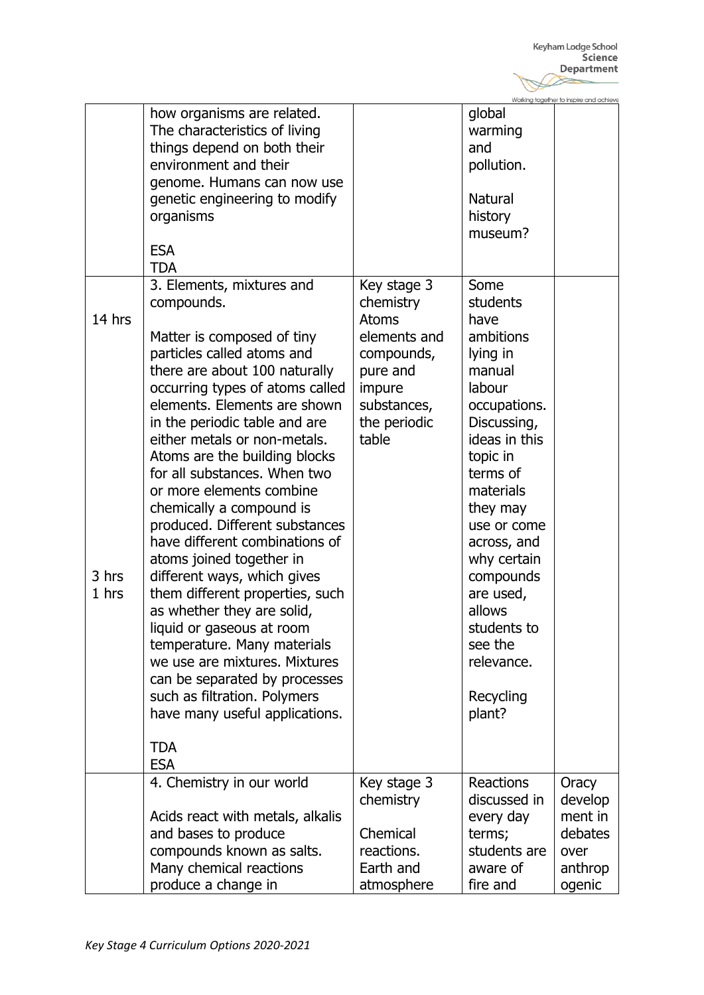|                |                                                                                                                                                                                                                                                                                                                                                                                                                                                                                                                                                                          |                                                                                                                                      |                                                                                                                                                                                                                                 | Working together to inspire and achieve |
|----------------|--------------------------------------------------------------------------------------------------------------------------------------------------------------------------------------------------------------------------------------------------------------------------------------------------------------------------------------------------------------------------------------------------------------------------------------------------------------------------------------------------------------------------------------------------------------------------|--------------------------------------------------------------------------------------------------------------------------------------|---------------------------------------------------------------------------------------------------------------------------------------------------------------------------------------------------------------------------------|-----------------------------------------|
| 14 hrs         | how organisms are related.<br>The characteristics of living<br>things depend on both their<br>environment and their<br>genome. Humans can now use<br>genetic engineering to modify<br>organisms<br><b>ESA</b><br><b>TDA</b><br>3. Elements, mixtures and<br>compounds.<br>Matter is composed of tiny<br>particles called atoms and<br>there are about 100 naturally<br>occurring types of atoms called<br>elements. Elements are shown<br>in the periodic table and are<br>either metals or non-metals.<br>Atoms are the building blocks<br>for all substances. When two | Key stage 3<br>chemistry<br><b>Atoms</b><br>elements and<br>compounds,<br>pure and<br>impure<br>substances,<br>the periodic<br>table | global<br>warming<br>and<br>pollution.<br><b>Natural</b><br>history<br>museum?<br>Some<br>students<br>have<br>ambitions<br>lying in<br>manual<br>labour<br>occupations.<br>Discussing,<br>ideas in this<br>topic in<br>terms of |                                         |
| 3 hrs<br>1 hrs | or more elements combine<br>chemically a compound is<br>produced. Different substances<br>have different combinations of<br>atoms joined together in<br>different ways, which gives<br>them different properties, such<br>as whether they are solid,<br>liquid or gaseous at room<br>temperature. Many materials<br>we use are mixtures. Mixtures<br>can be separated by processes<br>such as filtration. Polymers<br>have many useful applications.<br><b>TDA</b>                                                                                                       |                                                                                                                                      | materials<br>they may<br>use or come<br>across, and<br>why certain<br>compounds<br>are used,<br>allows<br>students to<br>see the<br>relevance.<br>Recycling<br>plant?                                                           |                                         |
|                | <b>ESA</b><br>4. Chemistry in our world                                                                                                                                                                                                                                                                                                                                                                                                                                                                                                                                  | Key stage 3                                                                                                                          | Reactions                                                                                                                                                                                                                       | Oracy                                   |
|                |                                                                                                                                                                                                                                                                                                                                                                                                                                                                                                                                                                          | chemistry                                                                                                                            | discussed in                                                                                                                                                                                                                    | develop                                 |
|                | Acids react with metals, alkalis<br>and bases to produce                                                                                                                                                                                                                                                                                                                                                                                                                                                                                                                 | Chemical                                                                                                                             | every day<br>terms;                                                                                                                                                                                                             | ment in<br>debates                      |
|                | compounds known as salts.                                                                                                                                                                                                                                                                                                                                                                                                                                                                                                                                                | reactions.                                                                                                                           | students are                                                                                                                                                                                                                    | over                                    |
|                | Many chemical reactions                                                                                                                                                                                                                                                                                                                                                                                                                                                                                                                                                  | Earth and                                                                                                                            | aware of                                                                                                                                                                                                                        | anthrop                                 |
|                | produce a change in                                                                                                                                                                                                                                                                                                                                                                                                                                                                                                                                                      | atmosphere                                                                                                                           | fire and                                                                                                                                                                                                                        | ogenic                                  |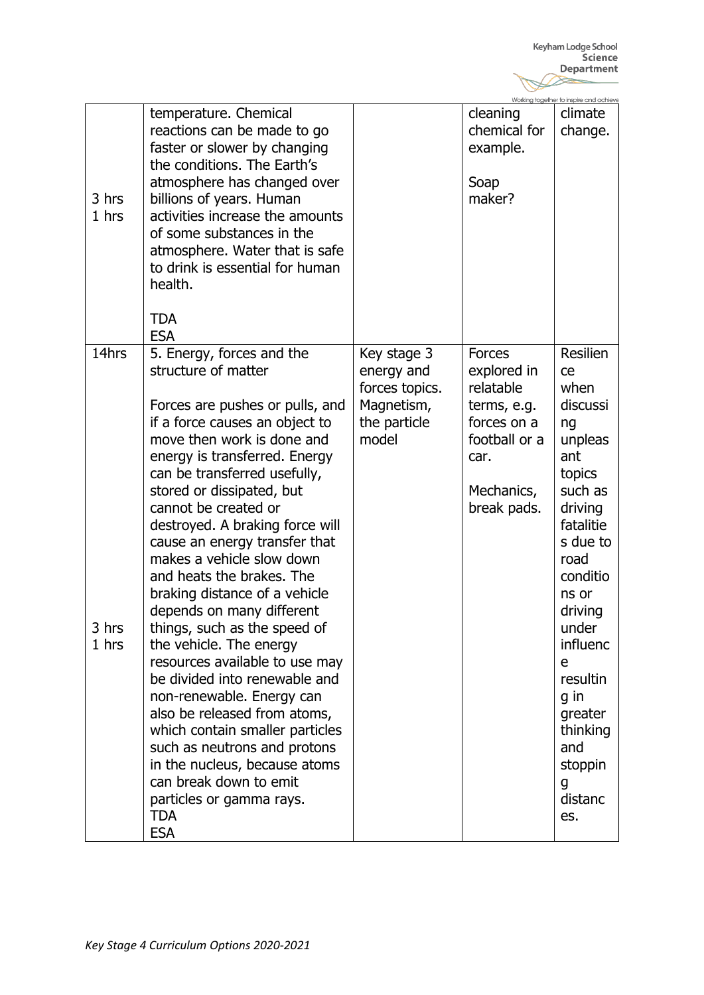|                         |                                                                                                                                                                                                                                                                                                                                                                                                                                                                                                                                                                                                                                                                                                                                                                                                                                                                      |                                                                                    |                                                                                                                               | Working together to inspire and achieve                                                                                                                                                                                                                                          |
|-------------------------|----------------------------------------------------------------------------------------------------------------------------------------------------------------------------------------------------------------------------------------------------------------------------------------------------------------------------------------------------------------------------------------------------------------------------------------------------------------------------------------------------------------------------------------------------------------------------------------------------------------------------------------------------------------------------------------------------------------------------------------------------------------------------------------------------------------------------------------------------------------------|------------------------------------------------------------------------------------|-------------------------------------------------------------------------------------------------------------------------------|----------------------------------------------------------------------------------------------------------------------------------------------------------------------------------------------------------------------------------------------------------------------------------|
| 3 hrs<br>1 hrs          | temperature. Chemical<br>reactions can be made to go<br>faster or slower by changing<br>the conditions. The Earth's<br>atmosphere has changed over<br>billions of years. Human<br>activities increase the amounts<br>of some substances in the<br>atmosphere. Water that is safe<br>to drink is essential for human<br>health.<br><b>TDA</b>                                                                                                                                                                                                                                                                                                                                                                                                                                                                                                                         |                                                                                    | cleaning<br>chemical for<br>example.<br>Soap<br>maker?                                                                        | climate<br>change.                                                                                                                                                                                                                                                               |
| 14hrs<br>3 hrs<br>1 hrs | <b>ESA</b><br>5. Energy, forces and the<br>structure of matter<br>Forces are pushes or pulls, and<br>if a force causes an object to<br>move then work is done and<br>energy is transferred. Energy<br>can be transferred usefully,<br>stored or dissipated, but<br>cannot be created or<br>destroyed. A braking force will<br>cause an energy transfer that<br>makes a vehicle slow down<br>and heats the brakes. The<br>braking distance of a vehicle<br>depends on many different<br>things, such as the speed of<br>the vehicle. The energy<br>resources available to use may<br>be divided into renewable and<br>non-renewable. Energy can<br>also be released from atoms,<br>which contain smaller particles<br>such as neutrons and protons<br>in the nucleus, because atoms<br>can break down to emit<br>particles or gamma rays.<br><b>TDA</b><br><b>ESA</b> | Key stage 3<br>energy and<br>forces topics.<br>Magnetism,<br>the particle<br>model | <b>Forces</b><br>explored in<br>relatable<br>terms, e.g.<br>forces on a<br>football or a<br>car.<br>Mechanics,<br>break pads. | <b>Resilien</b><br>ce<br>when<br>discussi<br>ng<br>unpleas<br>ant<br>topics<br>such as<br>driving<br>fatalitie<br>s due to<br>road<br>conditio<br>ns or<br>driving<br>under<br>influenc<br>e<br>resultin<br>q in<br>greater<br>thinking<br>and<br>stoppin<br>g<br>distanc<br>es. |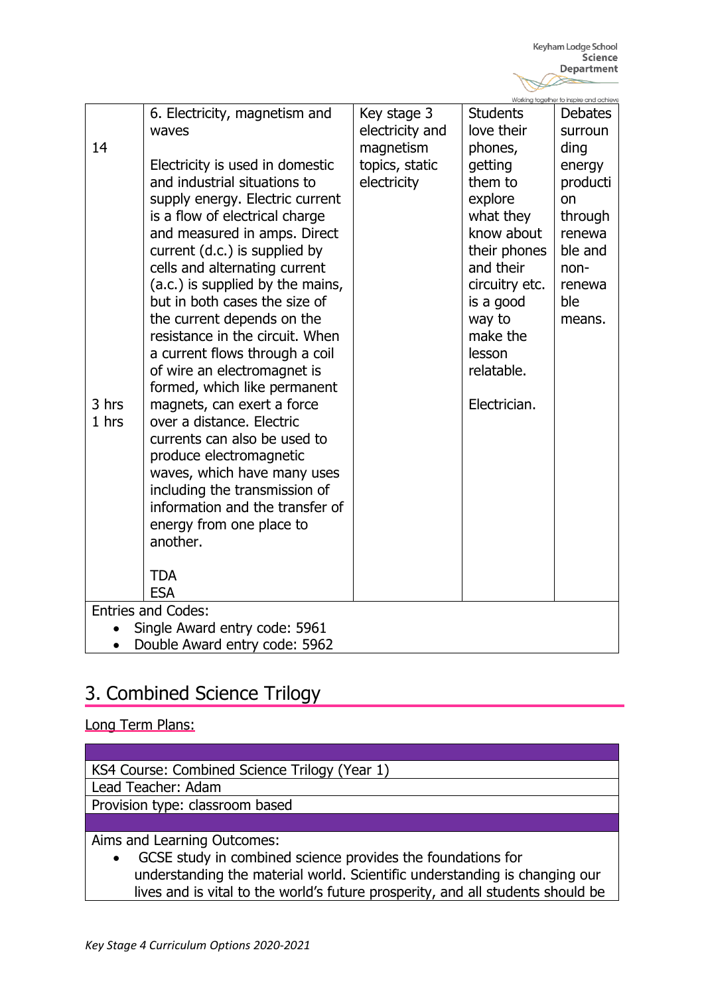|                               |                                                         |                 |                 | Working together to inspire and achieve |  |
|-------------------------------|---------------------------------------------------------|-----------------|-----------------|-----------------------------------------|--|
|                               | 6. Electricity, magnetism and                           | Key stage 3     | <b>Students</b> | <b>Debates</b>                          |  |
|                               | waves                                                   | electricity and | love their      | surroun                                 |  |
| 14                            |                                                         | magnetism       | phones,         | ding                                    |  |
|                               | Electricity is used in domestic                         | topics, static  | getting         | energy                                  |  |
|                               | and industrial situations to                            | electricity     | them to         | producti                                |  |
|                               | supply energy. Electric current                         |                 | explore         | on                                      |  |
|                               | is a flow of electrical charge                          |                 | what they       | through                                 |  |
|                               | and measured in amps. Direct                            |                 | know about      | renewa                                  |  |
|                               | current (d.c.) is supplied by                           |                 | their phones    | ble and                                 |  |
|                               | cells and alternating current                           |                 | and their       | non-                                    |  |
|                               | (a.c.) is supplied by the mains,                        |                 | circuitry etc.  | renewa                                  |  |
|                               | but in both cases the size of                           |                 | is a good       | ble                                     |  |
|                               | the current depends on the                              |                 | way to          | means.                                  |  |
|                               | resistance in the circuit. When                         |                 | make the        |                                         |  |
|                               | a current flows through a coil                          |                 | lesson          |                                         |  |
|                               | of wire an electromagnet is                             |                 | relatable.      |                                         |  |
|                               | formed, which like permanent                            |                 |                 |                                         |  |
| 3 hrs<br>1 hrs                | magnets, can exert a force<br>over a distance. Electric |                 | Electrician.    |                                         |  |
|                               | currents can also be used to                            |                 |                 |                                         |  |
|                               | produce electromagnetic                                 |                 |                 |                                         |  |
|                               | waves, which have many uses                             |                 |                 |                                         |  |
|                               | including the transmission of                           |                 |                 |                                         |  |
|                               | information and the transfer of                         |                 |                 |                                         |  |
|                               | energy from one place to                                |                 |                 |                                         |  |
|                               | another.                                                |                 |                 |                                         |  |
|                               |                                                         |                 |                 |                                         |  |
|                               | <b>TDA</b>                                              |                 |                 |                                         |  |
|                               | <b>ESA</b>                                              |                 |                 |                                         |  |
|                               | <b>Entries and Codes:</b>                               |                 |                 |                                         |  |
| Single Award entry code: 5961 |                                                         |                 |                 |                                         |  |
| Double Award entry code: 5962 |                                                         |                 |                 |                                         |  |

### 3. Combined Science Trilogy

#### Long Term Plans:

KS4 Course: Combined Science Trilogy (Year 1)

Lead Teacher: Adam

Provision type: classroom based

Aims and Learning Outcomes:

 GCSE study in combined science provides the foundations for understanding the material world. Scientific understanding is changing our lives and is vital to the world's future prosperity, and all students should be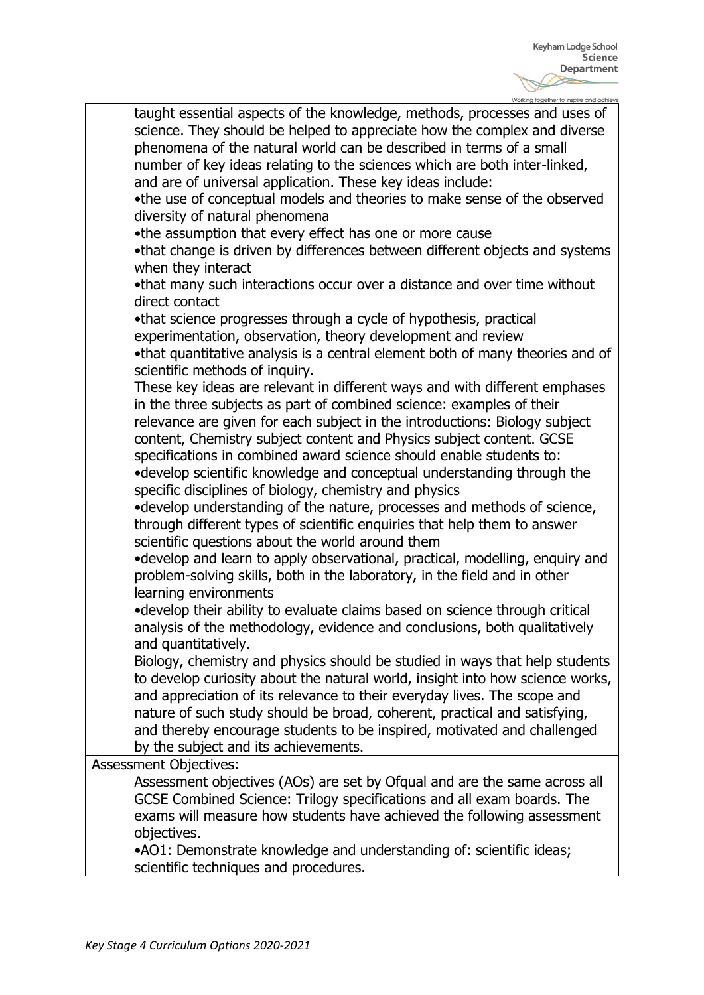| Working together to inspire and achieve                                       |
|-------------------------------------------------------------------------------|
| taught essential aspects of the knowledge, methods, processes and uses of     |
| science. They should be helped to appreciate how the complex and diverse      |
| phenomena of the natural world can be described in terms of a small           |
| number of key ideas relating to the sciences which are both inter-linked,     |
|                                                                               |
| and are of universal application. These key ideas include:                    |
| . the use of conceptual models and theories to make sense of the observed     |
| diversity of natural phenomena                                                |
| •the assumption that every effect has one or more cause                       |
| .that change is driven by differences between different objects and systems   |
| when they interact                                                            |
| .that many such interactions occur over a distance and over time without      |
| direct contact                                                                |
| •that science progresses through a cycle of hypothesis, practical             |
|                                                                               |
| experimentation, observation, theory development and review                   |
| .that quantitative analysis is a central element both of many theories and of |
| scientific methods of inquiry.                                                |
| These key ideas are relevant in different ways and with different emphases    |
| in the three subjects as part of combined science: examples of their          |
| relevance are given for each subject in the introductions: Biology subject    |
| content, Chemistry subject content and Physics subject content. GCSE          |
| specifications in combined award science should enable students to:           |
|                                                                               |
| •develop scientific knowledge and conceptual understanding through the        |
| specific disciplines of biology, chemistry and physics                        |
| •develop understanding of the nature, processes and methods of science,       |
| through different types of scientific enquiries that help them to answer      |
| scientific questions about the world around them                              |
| •develop and learn to apply observational, practical, modelling, enquiry and  |
| problem-solving skills, both in the laboratory, in the field and in other     |
| learning environments                                                         |
| •develop their ability to evaluate claims based on science through critical   |
| analysis of the methodology, evidence and conclusions, both qualitatively     |
|                                                                               |
| and quantitatively.                                                           |
| Biology, chemistry and physics should be studied in ways that help students   |
| to develop curiosity about the natural world, insight into how science works, |
| and appreciation of its relevance to their everyday lives. The scope and      |
| nature of such study should be broad, coherent, practical and satisfying,     |
| and thereby encourage students to be inspired, motivated and challenged       |
| by the subject and its achievements.                                          |
| <b>Assessment Objectives:</b>                                                 |
| Assessment objectives (AOs) are set by Ofqual and are the same across all     |
| GCSE Combined Science: Trilogy specifications and all exam boards. The        |
|                                                                               |
| exams will measure how students have achieved the following assessment        |
| objectives.                                                                   |
| •AO1: Demonstrate knowledge and understanding of: scientific ideas;           |
| scientific techniques and procedures.                                         |
|                                                                               |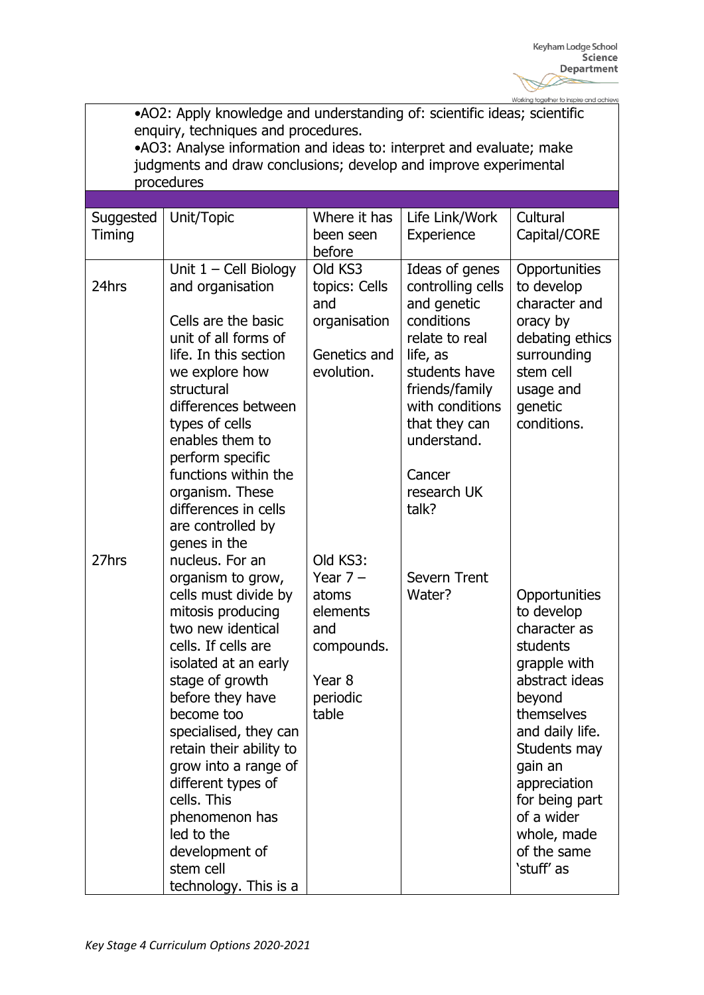•AO2: Apply knowledge and understanding of: scientific ideas; scientific enquiry, techniques and procedures. •AO3: Analyse information and ideas to: interpret and evaluate; make judgments and draw conclusions; develop and improve experimental procedures **Suggested** Timing Unit/Topic Where it has been seen before Life Link/Work **Experience Cultural** Capital/CORE 24hrs 27hrs Unit 1 – Cell Biology and organisation Cells are the basic unit of all forms of life. In this section we explore how structural differences between types of cells enables them to perform specific functions within the organism. These differences in cells are controlled by genes in the nucleus. For an organism to grow, cells must divide by mitosis producing two new identical cells. If cells are isolated at an early stage of growth before they have become too specialised, they can retain their ability to grow into a range of different types of cells. This phenomenon has led to the development of stem cell technology. This is a Old KS3 topics: Cells and organisation Genetics and evolution. Old KS3: Year 7 – atoms elements and compounds. Year 8 periodic table Ideas of genes controlling cells and genetic conditions relate to real life, as students have friends/family with conditions that they can understand. **Cancer** research UK talk? Severn Trent Water? **Opportunities** to develop character and oracy by debating ethics surrounding stem cell usage and genetic conditions. **Opportunities** to develop character as students grapple with abstract ideas beyond themselves and daily life. Students may gain an appreciation for being part of a wider whole, made of the same 'stuff' as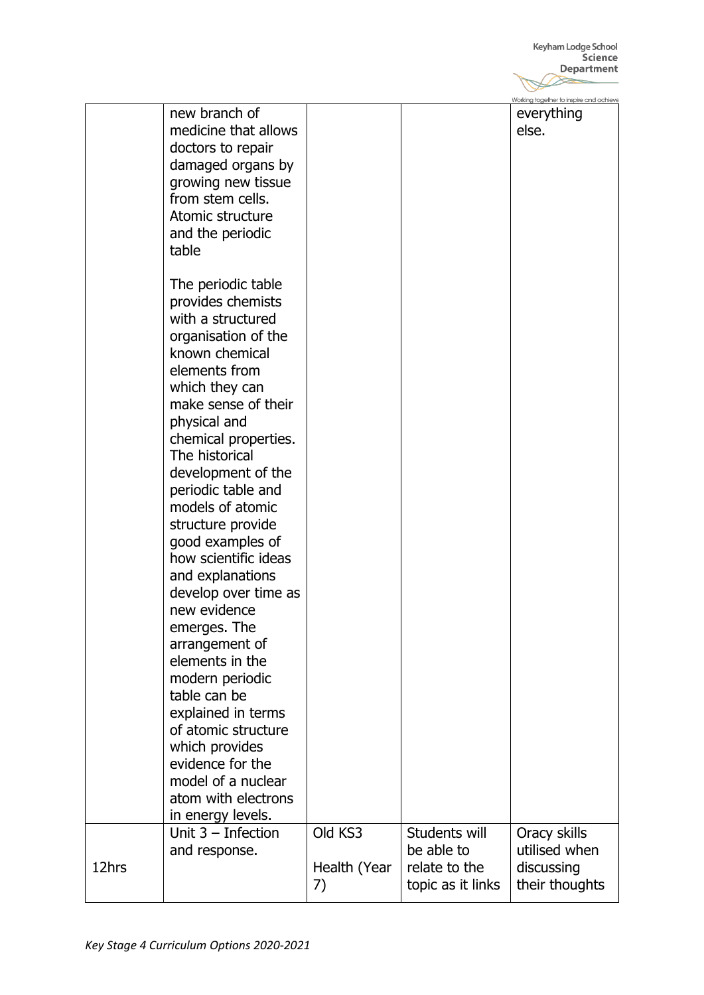|       |                                                                                     |                    |                                    | Working together to inspire and achieve |
|-------|-------------------------------------------------------------------------------------|--------------------|------------------------------------|-----------------------------------------|
|       | new branch of<br>medicine that allows<br>doctors to repair                          |                    |                                    | everything<br>else.                     |
|       | damaged organs by<br>growing new tissue<br>from stem cells.                         |                    |                                    |                                         |
|       | Atomic structure<br>and the periodic<br>table                                       |                    |                                    |                                         |
|       | The periodic table<br>provides chemists<br>with a structured<br>organisation of the |                    |                                    |                                         |
|       | known chemical<br>elements from<br>which they can                                   |                    |                                    |                                         |
|       | make sense of their<br>physical and<br>chemical properties.                         |                    |                                    |                                         |
|       | The historical<br>development of the<br>periodic table and                          |                    |                                    |                                         |
|       | models of atomic<br>structure provide<br>good examples of                           |                    |                                    |                                         |
|       | how scientific ideas<br>and explanations<br>develop over time as                    |                    |                                    |                                         |
|       | new evidence<br>emerges. The                                                        |                    |                                    |                                         |
|       | arrangement of<br>elements in the<br>modern periodic                                |                    |                                    |                                         |
|       | table can be<br>explained in terms<br>of atomic structure                           |                    |                                    |                                         |
|       | which provides<br>evidence for the<br>model of a nuclear                            |                    |                                    |                                         |
|       | atom with electrons<br>in energy levels.                                            |                    |                                    |                                         |
|       | Unit $3$ – Infection<br>and response.                                               | Old KS3            | Students will<br>be able to        | Oracy skills<br>utilised when           |
| 12hrs |                                                                                     | Health (Year<br>7) | relate to the<br>topic as it links | discussing<br>their thoughts            |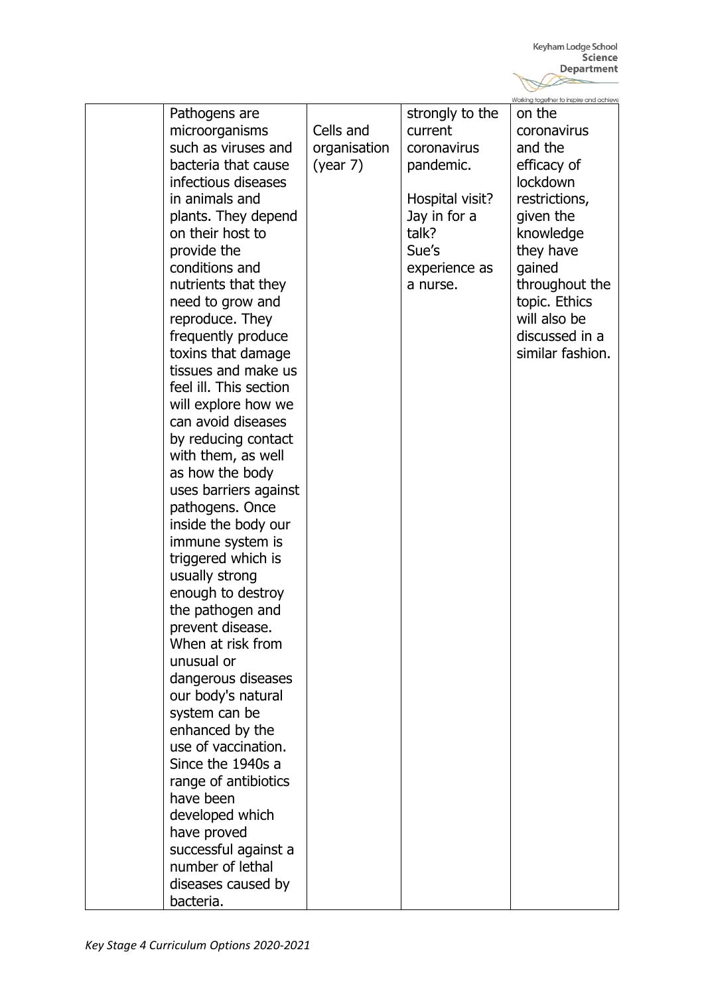|                        |              |                 | Working together to inspire and achieve |
|------------------------|--------------|-----------------|-----------------------------------------|
| Pathogens are          |              | strongly to the | on the                                  |
| microorganisms         | Cells and    | current         | coronavirus                             |
| such as viruses and    | organisation | coronavirus     | and the                                 |
| bacteria that cause    | (year 7)     | pandemic.       | efficacy of                             |
| infectious diseases    |              |                 | lockdown                                |
| in animals and         |              | Hospital visit? | restrictions,                           |
| plants. They depend    |              | Jay in for a    | given the                               |
| on their host to       |              | talk?           | knowledge                               |
| provide the            |              | Sue's           | they have                               |
| conditions and         |              | experience as   | gained                                  |
| nutrients that they    |              | a nurse.        | throughout the                          |
| need to grow and       |              |                 | topic. Ethics                           |
| reproduce. They        |              |                 | will also be                            |
| frequently produce     |              |                 | discussed in a                          |
| toxins that damage     |              |                 | similar fashion.                        |
| tissues and make us    |              |                 |                                         |
| feel ill. This section |              |                 |                                         |
| will explore how we    |              |                 |                                         |
| can avoid diseases     |              |                 |                                         |
| by reducing contact    |              |                 |                                         |
| with them, as well     |              |                 |                                         |
| as how the body        |              |                 |                                         |
| uses barriers against  |              |                 |                                         |
| pathogens. Once        |              |                 |                                         |
| inside the body our    |              |                 |                                         |
| immune system is       |              |                 |                                         |
| triggered which is     |              |                 |                                         |
| usually strong         |              |                 |                                         |
| enough to destroy      |              |                 |                                         |
| the pathogen and       |              |                 |                                         |
| prevent disease.       |              |                 |                                         |
| When at risk from      |              |                 |                                         |
| unusual or             |              |                 |                                         |
| dangerous diseases     |              |                 |                                         |
| our body's natural     |              |                 |                                         |
| system can be          |              |                 |                                         |
| enhanced by the        |              |                 |                                         |
| use of vaccination.    |              |                 |                                         |
| Since the 1940s a      |              |                 |                                         |
| range of antibiotics   |              |                 |                                         |
| have been              |              |                 |                                         |
| developed which        |              |                 |                                         |
| have proved            |              |                 |                                         |
| successful against a   |              |                 |                                         |
| number of lethal       |              |                 |                                         |
| diseases caused by     |              |                 |                                         |
| bacteria.              |              |                 |                                         |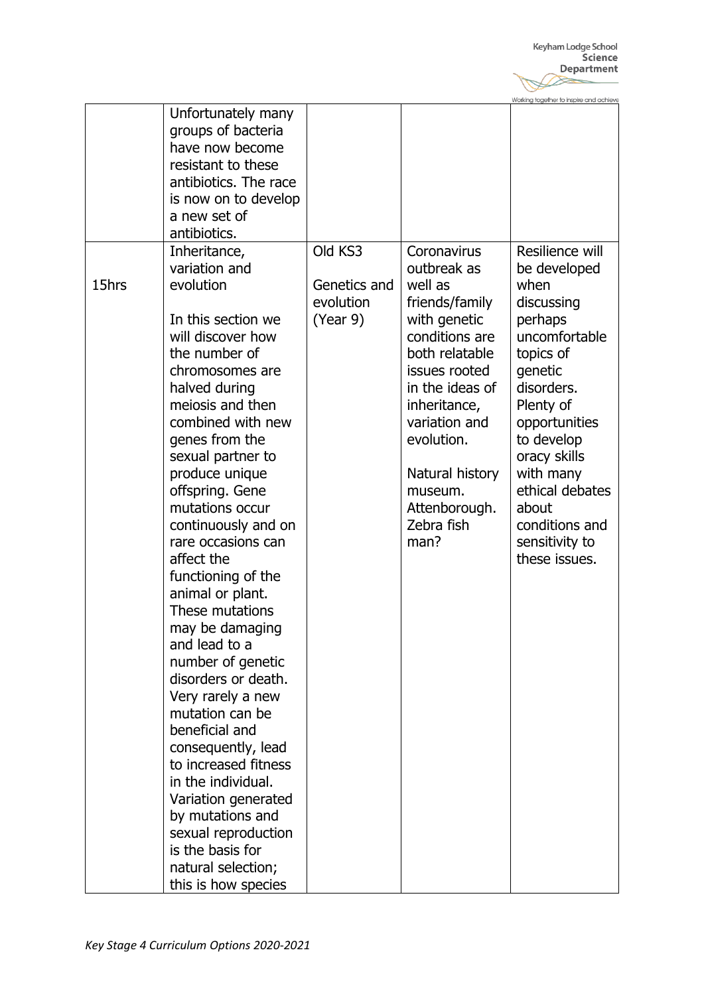Working together to inspire and achieve

|       | Unfortunately many<br>groups of bacteria<br>have now become<br>resistant to these<br>antibiotics. The race<br>is now on to develop<br>a new set of<br>antibiotics.            |                                       |                                                                                                                   |                                                                                                   |
|-------|-------------------------------------------------------------------------------------------------------------------------------------------------------------------------------|---------------------------------------|-------------------------------------------------------------------------------------------------------------------|---------------------------------------------------------------------------------------------------|
| 15hrs | evolution<br>In this section we<br>will discover how<br>the number of<br>chromosomes are<br>halved during                                                                     | Genetics and<br>evolution<br>(Year 9) | well as<br>friends/family<br>with genetic<br>conditions are<br>both relatable<br>issues rooted<br>in the ideas of | when<br>discussing<br>perhaps<br>uncomfortable<br>topics of<br>genetic<br>disorders.              |
|       | meiosis and then<br>combined with new<br>genes from the<br>sexual partner to<br>produce unique<br>offspring. Gene<br>mutations occur                                          |                                       | inheritance,<br>variation and<br>evolution.<br>Natural history<br>museum.<br>Attenborough.                        | Plenty of<br>opportunities<br>to develop<br>oracy skills<br>with many<br>ethical debates<br>about |
|       | continuously and on<br>rare occasions can<br>affect the<br>functioning of the<br>animal or plant.<br>These mutations<br>may be damaging<br>and lead to a<br>number of genetic |                                       | Zebra fish<br>man?                                                                                                | conditions and<br>sensitivity to<br>these issues.                                                 |
|       | disorders or death.<br>Very rarely a new<br>mutation can be<br>beneficial and<br>consequently, lead<br>to increased fitness<br>in the individual.                             |                                       |                                                                                                                   |                                                                                                   |
|       | Variation generated<br>by mutations and<br>sexual reproduction<br>is the basis for<br>natural selection;<br>this is how species                                               |                                       |                                                                                                                   |                                                                                                   |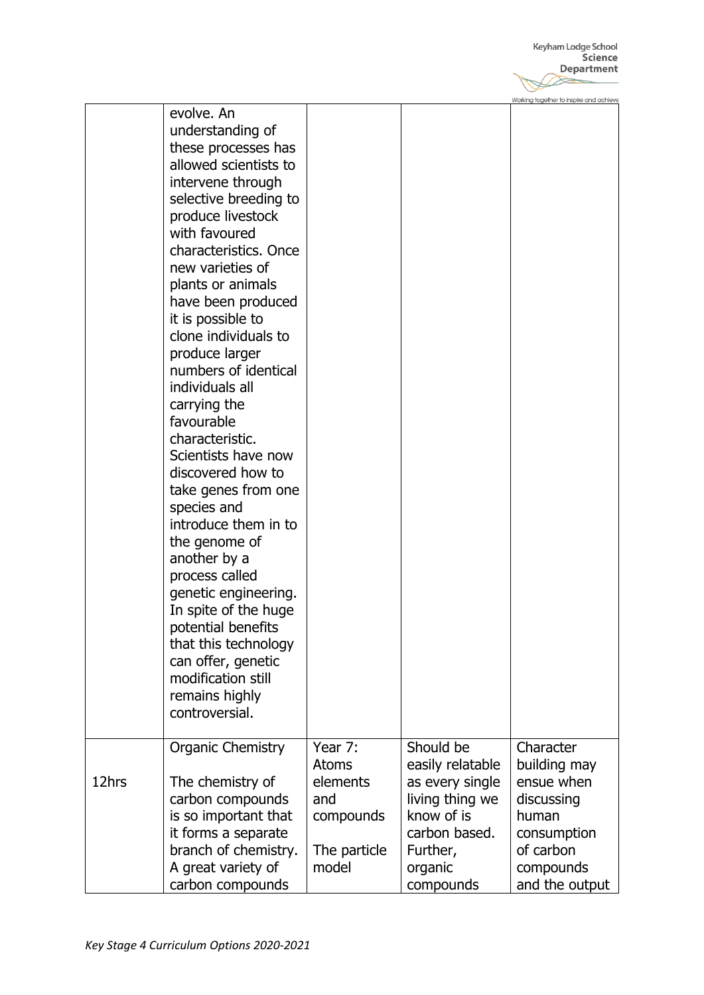Keyham Lodge School<br>**Science**<br>**Department**  $\gg$ 

Working together to inspire and achieve

|       | evolve. An<br>understanding of<br>these processes has<br>allowed scientists to<br>intervene through<br>selective breeding to<br>produce livestock<br>with favoured<br>characteristics. Once<br>new varieties of<br>plants or animals<br>have been produced<br>it is possible to<br>clone individuals to<br>produce larger<br>numbers of identical<br>individuals all<br>carrying the<br>favourable |                                                         |                                                                                   |                                                                |
|-------|----------------------------------------------------------------------------------------------------------------------------------------------------------------------------------------------------------------------------------------------------------------------------------------------------------------------------------------------------------------------------------------------------|---------------------------------------------------------|-----------------------------------------------------------------------------------|----------------------------------------------------------------|
|       | characteristic.<br>Scientists have now<br>discovered how to                                                                                                                                                                                                                                                                                                                                        |                                                         |                                                                                   |                                                                |
|       | take genes from one<br>species and<br>introduce them in to<br>the genome of<br>another by a<br>process called<br>genetic engineering.<br>In spite of the huge                                                                                                                                                                                                                                      |                                                         |                                                                                   |                                                                |
|       | potential benefits<br>that this technology<br>can offer, genetic<br>modification still<br>remains highly<br>controversial.                                                                                                                                                                                                                                                                         |                                                         |                                                                                   |                                                                |
| 12hrs | <b>Organic Chemistry</b><br>The chemistry of<br>carbon compounds<br>is so important that                                                                                                                                                                                                                                                                                                           | Year 7:<br><b>Atoms</b><br>elements<br>and<br>compounds | Should be<br>easily relatable<br>as every single<br>living thing we<br>know of is | Character<br>building may<br>ensue when<br>discussing<br>human |
|       | it forms a separate<br>branch of chemistry.<br>A great variety of<br>carbon compounds                                                                                                                                                                                                                                                                                                              | The particle<br>model                                   | carbon based.<br>Further,<br>organic<br>compounds                                 | consumption<br>of carbon<br>compounds<br>and the output        |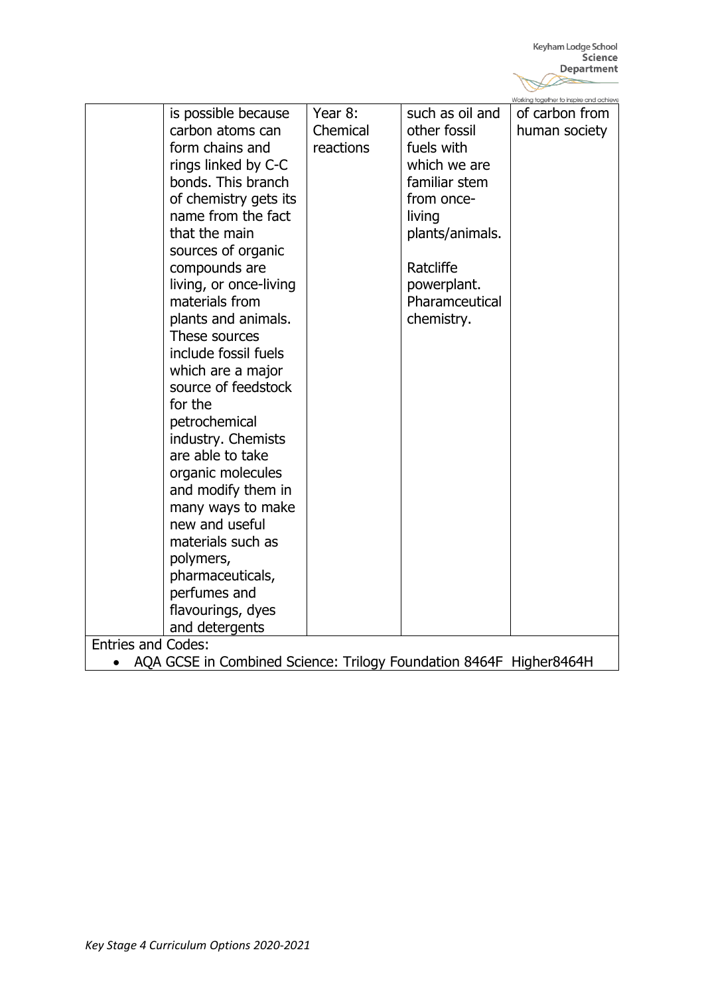|                                                                                 |           |                 | Working together to inspire and achieve |  |
|---------------------------------------------------------------------------------|-----------|-----------------|-----------------------------------------|--|
| is possible because                                                             | Year 8:   | such as oil and | of carbon from                          |  |
| carbon atoms can                                                                | Chemical  | other fossil    | human society                           |  |
| form chains and                                                                 | reactions | fuels with      |                                         |  |
| rings linked by C-C                                                             |           | which we are    |                                         |  |
| bonds. This branch                                                              |           | familiar stem   |                                         |  |
| of chemistry gets its                                                           |           | from once-      |                                         |  |
| name from the fact                                                              |           | living          |                                         |  |
| that the main                                                                   |           | plants/animals. |                                         |  |
| sources of organic                                                              |           |                 |                                         |  |
| compounds are                                                                   |           | Ratcliffe       |                                         |  |
| living, or once-living                                                          |           | powerplant.     |                                         |  |
| materials from                                                                  |           | Pharamceutical  |                                         |  |
| plants and animals.                                                             |           | chemistry.      |                                         |  |
| These sources                                                                   |           |                 |                                         |  |
| include fossil fuels                                                            |           |                 |                                         |  |
| which are a major                                                               |           |                 |                                         |  |
| source of feedstock                                                             |           |                 |                                         |  |
| for the                                                                         |           |                 |                                         |  |
| petrochemical                                                                   |           |                 |                                         |  |
| industry. Chemists                                                              |           |                 |                                         |  |
| are able to take                                                                |           |                 |                                         |  |
| organic molecules                                                               |           |                 |                                         |  |
| and modify them in                                                              |           |                 |                                         |  |
| many ways to make                                                               |           |                 |                                         |  |
| new and useful                                                                  |           |                 |                                         |  |
| materials such as                                                               |           |                 |                                         |  |
| polymers,                                                                       |           |                 |                                         |  |
| pharmaceuticals,                                                                |           |                 |                                         |  |
| perfumes and                                                                    |           |                 |                                         |  |
| flavourings, dyes                                                               |           |                 |                                         |  |
| and detergents                                                                  |           |                 |                                         |  |
| <b>Entries and Codes:</b>                                                       |           |                 |                                         |  |
| AQA GCSE in Combined Science: Trilogy Foundation 8464F Higher8464H<br>$\bullet$ |           |                 |                                         |  |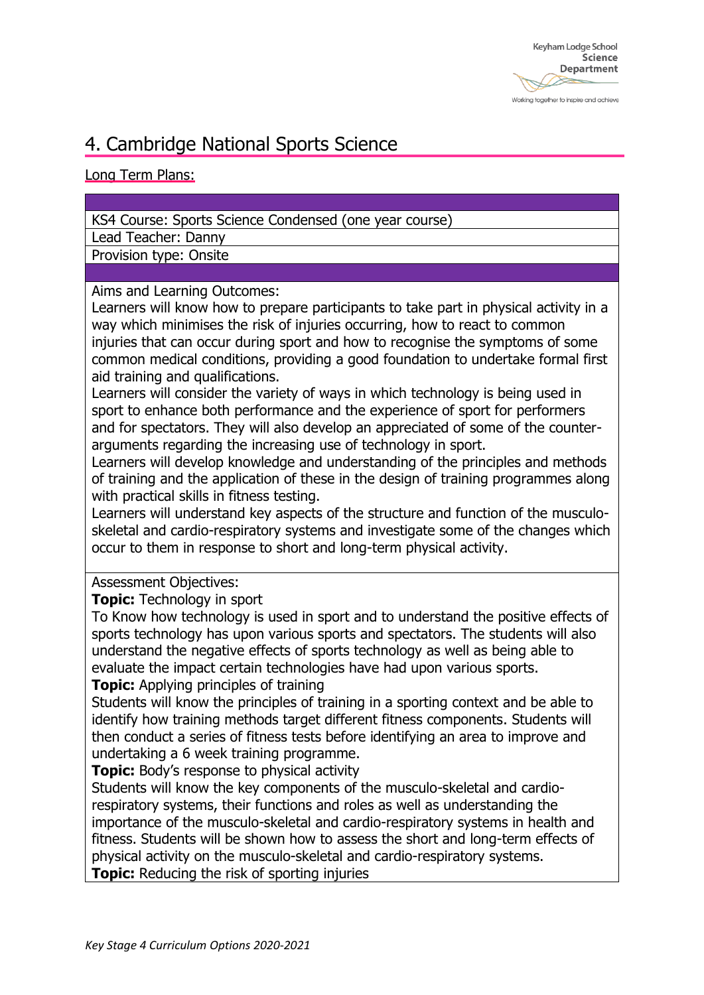### 4. Cambridge National Sports Science

#### Long Term Plans:

#### KS4 Course: Sports Science Condensed (one year course)

Lead Teacher: Danny

Provision type: Onsite

#### Aims and Learning Outcomes:

Learners will know how to prepare participants to take part in physical activity in a way which minimises the risk of injuries occurring, how to react to common injuries that can occur during sport and how to recognise the symptoms of some common medical conditions, providing a good foundation to undertake formal first aid training and qualifications.

Learners will consider the variety of ways in which technology is being used in sport to enhance both performance and the experience of sport for performers and for spectators. They will also develop an appreciated of some of the counterarguments regarding the increasing use of technology in sport.

Learners will develop knowledge and understanding of the principles and methods of training and the application of these in the design of training programmes along with practical skills in fitness testing.

Learners will understand key aspects of the structure and function of the musculoskeletal and cardio-respiratory systems and investigate some of the changes which occur to them in response to short and long-term physical activity.

Assessment Objectives:

**Topic:** Technology in sport

To Know how technology is used in sport and to understand the positive effects of sports technology has upon various sports and spectators. The students will also understand the negative effects of sports technology as well as being able to evaluate the impact certain technologies have had upon various sports.

**Topic:** Applying principles of training

Students will know the principles of training in a sporting context and be able to identify how training methods target different fitness components. Students will then conduct a series of fitness tests before identifying an area to improve and undertaking a 6 week training programme.

**Topic:** Body's response to physical activity

Students will know the key components of the musculo-skeletal and cardiorespiratory systems, their functions and roles as well as understanding the importance of the musculo-skeletal and cardio-respiratory systems in health and fitness. Students will be shown how to assess the short and long-term effects of physical activity on the musculo-skeletal and cardio-respiratory systems. **Topic:** Reducing the risk of sporting injuries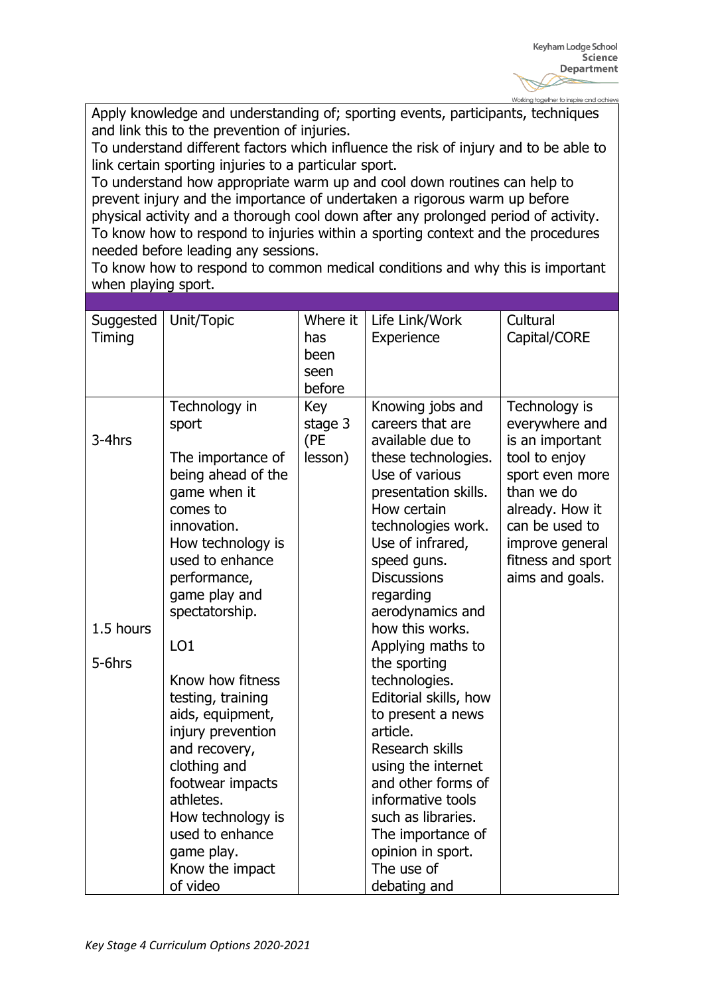Apply knowledge and understanding of; sporting events, participants, techniques and link this to the prevention of injuries.

To understand different factors which influence the risk of injury and to be able to link certain sporting injuries to a particular sport.

To understand how appropriate warm up and cool down routines can help to prevent injury and the importance of undertaken a rigorous warm up before physical activity and a thorough cool down after any prolonged period of activity. To know how to respond to injuries within a sporting context and the procedures needed before leading any sessions.

To know how to respond to common medical conditions and why this is important when playing sport.

| Suggested<br>Timing           | Unit/Topic                                                                                                                                                                                                                                                                                                                                                                                                                           | Where it<br>has<br>been<br>seen<br>before | Life Link/Work<br>Experience                                                                                                                                                                                                                                                                                                                                                                                                                                                                                                                    | Cultural<br>Capital/CORE                                                                                                                                                                             |
|-------------------------------|--------------------------------------------------------------------------------------------------------------------------------------------------------------------------------------------------------------------------------------------------------------------------------------------------------------------------------------------------------------------------------------------------------------------------------------|-------------------------------------------|-------------------------------------------------------------------------------------------------------------------------------------------------------------------------------------------------------------------------------------------------------------------------------------------------------------------------------------------------------------------------------------------------------------------------------------------------------------------------------------------------------------------------------------------------|------------------------------------------------------------------------------------------------------------------------------------------------------------------------------------------------------|
| 3-4hrs<br>1.5 hours<br>5-6hrs | Technology in<br>sport<br>The importance of<br>being ahead of the<br>game when it<br>comes to<br>innovation.<br>How technology is<br>used to enhance<br>performance,<br>game play and<br>spectatorship.<br>LO <sub>1</sub><br>Know how fitness<br>testing, training<br>aids, equipment,<br>injury prevention<br>and recovery,<br>clothing and<br>footwear impacts<br>athletes.<br>How technology is<br>used to enhance<br>game play. | Key<br>stage 3<br>(PE<br>lesson)          | Knowing jobs and<br>careers that are<br>available due to<br>these technologies.<br>Use of various<br>presentation skills.<br>How certain<br>technologies work.<br>Use of infrared,<br>speed guns.<br><b>Discussions</b><br>regarding<br>aerodynamics and<br>how this works.<br>Applying maths to<br>the sporting<br>technologies.<br>Editorial skills, how<br>to present a news<br>article.<br>Research skills<br>using the internet<br>and other forms of<br>informative tools<br>such as libraries.<br>The importance of<br>opinion in sport. | Technology is<br>everywhere and<br>is an important<br>tool to enjoy<br>sport even more<br>than we do<br>already. How it<br>can be used to<br>improve general<br>fitness and sport<br>aims and goals. |
|                               | Know the impact<br>of video                                                                                                                                                                                                                                                                                                                                                                                                          |                                           | The use of<br>debating and                                                                                                                                                                                                                                                                                                                                                                                                                                                                                                                      |                                                                                                                                                                                                      |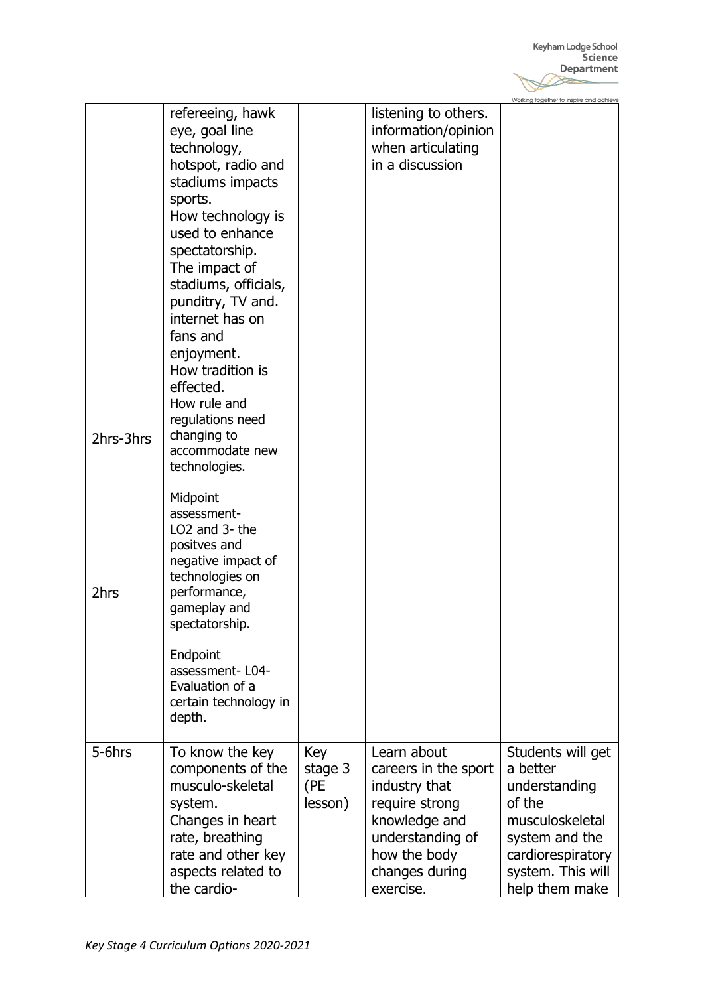|           |                                                                                                                                                                                                                                                                                                                                                                                                     |                                  |                                                                                                                                                            | Working together to inspire and achieve                                                                                                                   |
|-----------|-----------------------------------------------------------------------------------------------------------------------------------------------------------------------------------------------------------------------------------------------------------------------------------------------------------------------------------------------------------------------------------------------------|----------------------------------|------------------------------------------------------------------------------------------------------------------------------------------------------------|-----------------------------------------------------------------------------------------------------------------------------------------------------------|
| 2hrs-3hrs | refereeing, hawk<br>eye, goal line<br>technology,<br>hotspot, radio and<br>stadiums impacts<br>sports.<br>How technology is<br>used to enhance<br>spectatorship.<br>The impact of<br>stadiums, officials,<br>punditry, TV and.<br>internet has on<br>fans and<br>enjoyment.<br>How tradition is<br>effected.<br>How rule and<br>regulations need<br>changing to<br>accommodate new<br>technologies. |                                  | listening to others.<br>information/opinion<br>when articulating<br>in a discussion                                                                        |                                                                                                                                                           |
| 2hrs      | Midpoint<br>assessment-<br>LO <sub>2</sub> and 3- the<br>positves and<br>negative impact of<br>technologies on<br>performance,<br>gameplay and<br>spectatorship.<br>Endpoint<br>assessment-L04-<br>Evaluation of a<br>certain technology in<br>depth.                                                                                                                                               |                                  |                                                                                                                                                            |                                                                                                                                                           |
| 5-6hrs    | To know the key<br>components of the<br>musculo-skeletal<br>system.<br>Changes in heart<br>rate, breathing<br>rate and other key<br>aspects related to<br>the cardio-                                                                                                                                                                                                                               | Key<br>stage 3<br>(PE<br>lesson) | Learn about<br>careers in the sport<br>industry that<br>require strong<br>knowledge and<br>understanding of<br>how the body<br>changes during<br>exercise. | Students will get<br>a better<br>understanding<br>of the<br>musculoskeletal<br>system and the<br>cardiorespiratory<br>system. This will<br>help them make |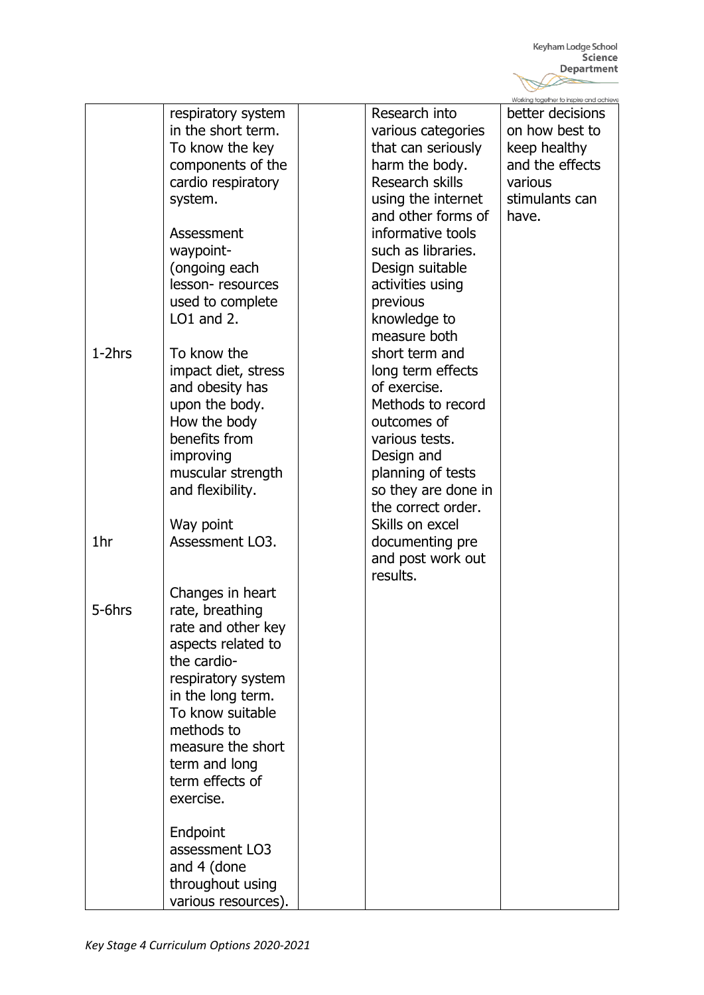|           |                     |                     | Working together to inspire and achieve |
|-----------|---------------------|---------------------|-----------------------------------------|
|           | respiratory system  | Research into       | better decisions                        |
|           | in the short term.  | various categories  | on how best to                          |
|           | To know the key     | that can seriously  | keep healthy                            |
|           | components of the   | harm the body.      | and the effects                         |
|           | cardio respiratory  | Research skills     | various                                 |
|           | system.             | using the internet  | stimulants can                          |
|           |                     | and other forms of  | have.                                   |
|           | Assessment          | informative tools   |                                         |
|           | waypoint-           | such as libraries.  |                                         |
|           | (ongoing each       | Design suitable     |                                         |
|           | lesson-resources    | activities using    |                                         |
|           | used to complete    | previous            |                                         |
|           | $LO1$ and $2$ .     | knowledge to        |                                         |
|           |                     | measure both        |                                         |
| $1-2$ hrs | To know the         | short term and      |                                         |
|           | impact diet, stress | long term effects   |                                         |
|           | and obesity has     | of exercise.        |                                         |
|           | upon the body.      | Methods to record   |                                         |
|           | How the body        | outcomes of         |                                         |
|           | benefits from       | various tests.      |                                         |
|           | improving           | Design and          |                                         |
|           | muscular strength   | planning of tests   |                                         |
|           | and flexibility.    | so they are done in |                                         |
|           |                     | the correct order.  |                                         |
|           | Way point           | Skills on excel     |                                         |
| 1hr       | Assessment LO3.     | documenting pre     |                                         |
|           |                     | and post work out   |                                         |
|           |                     | results.            |                                         |
|           |                     |                     |                                         |
|           | Changes in heart    |                     |                                         |
| 5-6hrs    | rate, breathing     |                     |                                         |
|           | rate and other key  |                     |                                         |
|           | aspects related to  |                     |                                         |
|           | the cardio-         |                     |                                         |
|           | respiratory system  |                     |                                         |
|           | in the long term.   |                     |                                         |
|           | To know suitable    |                     |                                         |
|           | methods to          |                     |                                         |
|           | measure the short   |                     |                                         |
|           | term and long       |                     |                                         |
|           | term effects of     |                     |                                         |
|           | exercise.           |                     |                                         |
|           |                     |                     |                                         |
|           | Endpoint            |                     |                                         |
|           | assessment LO3      |                     |                                         |
|           | and 4 (done         |                     |                                         |
|           | throughout using    |                     |                                         |
|           | various resources). |                     |                                         |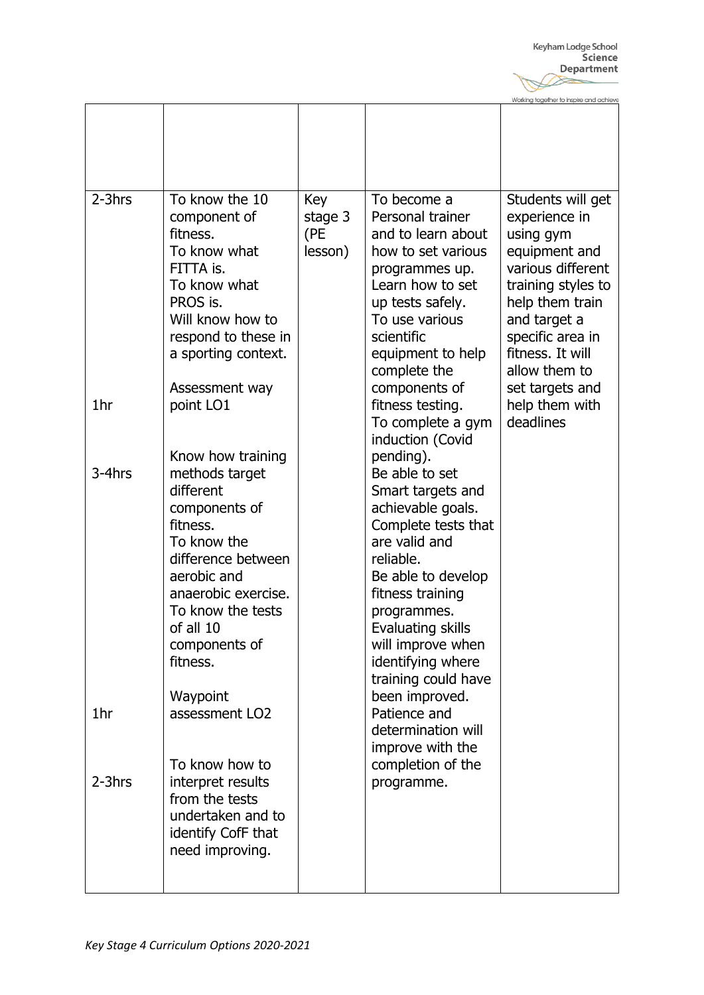**Together to inspire and achiev** Moder

|               |                                                                                                                                                                                                                                                                                     |                                  |                                                                                                                                                                                                                                                                                                                                                                            | MOIKING IODEILIEL IO ILIPDIIE CILICI CICLIIEAE                                                                                                                                                                             |
|---------------|-------------------------------------------------------------------------------------------------------------------------------------------------------------------------------------------------------------------------------------------------------------------------------------|----------------------------------|----------------------------------------------------------------------------------------------------------------------------------------------------------------------------------------------------------------------------------------------------------------------------------------------------------------------------------------------------------------------------|----------------------------------------------------------------------------------------------------------------------------------------------------------------------------------------------------------------------------|
|               |                                                                                                                                                                                                                                                                                     |                                  |                                                                                                                                                                                                                                                                                                                                                                            |                                                                                                                                                                                                                            |
| $2-3$ hrs     | To know the 10<br>component of<br>fitness.<br>To know what<br>FITTA is.<br>To know what<br>PROS is.<br>Will know how to<br>respond to these in<br>a sporting context.<br>Assessment way                                                                                             | Key<br>stage 3<br>(PE<br>lesson) | To become a<br>Personal trainer<br>and to learn about<br>how to set various<br>programmes up.<br>Learn how to set<br>up tests safely.<br>To use various<br>scientific<br>equipment to help<br>complete the<br>components of                                                                                                                                                | Students will get<br>experience in<br>using gym<br>equipment and<br>various different<br>training styles to<br>help them train<br>and target a<br>specific area in<br>fitness. It will<br>allow them to<br>set targets and |
| 1hr           | point LO1                                                                                                                                                                                                                                                                           |                                  | fitness testing.<br>To complete a gym<br>induction (Covid                                                                                                                                                                                                                                                                                                                  | help them with<br>deadlines                                                                                                                                                                                                |
| 3-4hrs<br>1hr | Know how training<br>methods target<br>different<br>components of<br>fitness.<br>To know the<br>difference between<br>aerobic and<br>anaerobic exercise.<br>To know the tests<br>of all 10<br>components of<br>fitness.<br>Waypoint<br>assessment LO <sub>2</sub><br>To know how to |                                  | pending).<br>Be able to set<br>Smart targets and<br>achievable goals.<br>Complete tests that<br>are valid and<br>reliable.<br>Be able to develop<br>fitness training<br>programmes.<br>Evaluating skills<br>will improve when<br>identifying where<br>training could have<br>been improved.<br>Patience and<br>determination will<br>improve with the<br>completion of the |                                                                                                                                                                                                                            |
| $2-3$ hrs     | interpret results<br>from the tests<br>undertaken and to<br>identify CofF that<br>need improving.                                                                                                                                                                                   |                                  | programme.                                                                                                                                                                                                                                                                                                                                                                 |                                                                                                                                                                                                                            |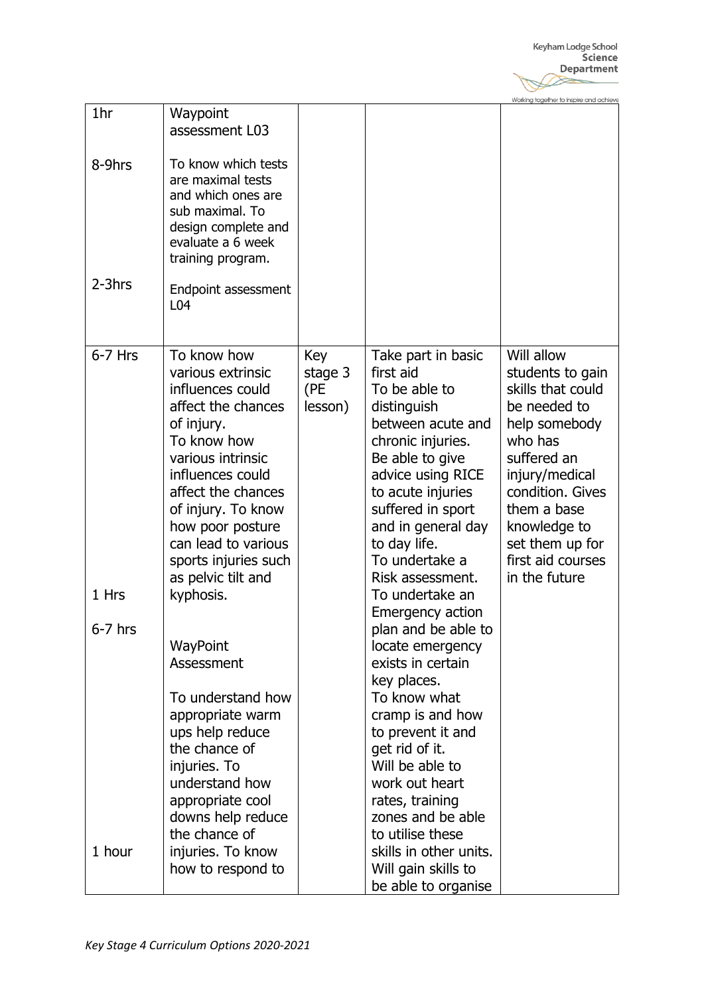|                    |                                                                                                                                                                                                                                                                                       |                                  |                                                                                                                                                                                                                                                                         | Working together to inspire and achieve                                                                                                                                                                                                      |
|--------------------|---------------------------------------------------------------------------------------------------------------------------------------------------------------------------------------------------------------------------------------------------------------------------------------|----------------------------------|-------------------------------------------------------------------------------------------------------------------------------------------------------------------------------------------------------------------------------------------------------------------------|----------------------------------------------------------------------------------------------------------------------------------------------------------------------------------------------------------------------------------------------|
| 1hr                | Waypoint<br>assessment L03                                                                                                                                                                                                                                                            |                                  |                                                                                                                                                                                                                                                                         |                                                                                                                                                                                                                                              |
| 8-9hrs             | To know which tests<br>are maximal tests<br>and which ones are<br>sub maximal. To<br>design complete and<br>evaluate a 6 week<br>training program.                                                                                                                                    |                                  |                                                                                                                                                                                                                                                                         |                                                                                                                                                                                                                                              |
| 2-3hrs             | Endpoint assessment<br>L04                                                                                                                                                                                                                                                            |                                  |                                                                                                                                                                                                                                                                         |                                                                                                                                                                                                                                              |
| $6-7$ Hrs          | To know how<br>various extrinsic<br>influences could<br>affect the chances<br>of injury.<br>To know how<br>various intrinsic<br>influences could<br>affect the chances<br>of injury. To know<br>how poor posture<br>can lead to various<br>sports injuries such<br>as pelvic tilt and | Key<br>stage 3<br>(PE<br>lesson) | Take part in basic<br>first aid<br>To be able to<br>distinguish<br>between acute and<br>chronic injuries.<br>Be able to give<br>advice using RICE<br>to acute injuries<br>suffered in sport<br>and in general day<br>to day life.<br>To undertake a<br>Risk assessment. | Will allow<br>students to gain<br>skills that could<br>be needed to<br>help somebody<br>who has<br>suffered an<br>injury/medical<br>condition. Gives<br>them a base<br>knowledge to<br>set them up for<br>first aid courses<br>in the future |
| 1 Hrs<br>$6-7$ hrs | kyphosis.                                                                                                                                                                                                                                                                             |                                  | To undertake an<br><b>Emergency action</b><br>plan and be able to                                                                                                                                                                                                       |                                                                                                                                                                                                                                              |
|                    | WayPoint<br>Assessment<br>To understand how<br>appropriate warm<br>ups help reduce<br>the chance of<br>injuries. To<br>understand how<br>appropriate cool<br>downs help reduce<br>the chance of                                                                                       |                                  | locate emergency<br>exists in certain<br>key places.<br>To know what<br>cramp is and how<br>to prevent it and<br>get rid of it.<br>Will be able to<br>work out heart<br>rates, training<br>zones and be able<br>to utilise these                                        |                                                                                                                                                                                                                                              |
| 1 hour             | injuries. To know<br>how to respond to                                                                                                                                                                                                                                                |                                  | skills in other units.<br>Will gain skills to<br>be able to organise                                                                                                                                                                                                    |                                                                                                                                                                                                                                              |